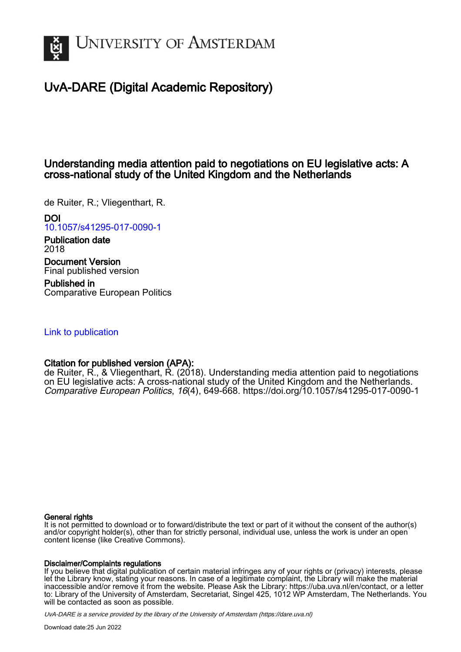

# UvA-DARE (Digital Academic Repository)

# Understanding media attention paid to negotiations on EU legislative acts: A cross-national study of the United Kingdom and the Netherlands

de Ruiter, R.; Vliegenthart, R.

DOI

[10.1057/s41295-017-0090-1](https://doi.org/10.1057/s41295-017-0090-1)

Publication date 2018

Document Version Final published version

Published in Comparative European Politics

# [Link to publication](https://dare.uva.nl/personal/pure/en/publications/understanding-media-attention-paid-to-negotiations-on-eu-legislative-acts-a-crossnational-study-of-the-united-kingdom-and-the-netherlands(676cfbfb-3999-4995-a4d3-8cb8fc399bf5).html)

# Citation for published version (APA):

de Ruiter, R., & Vliegenthart, R. (2018). Understanding media attention paid to negotiations on EU legislative acts: A cross-national study of the United Kingdom and the Netherlands. Comparative European Politics, 16(4), 649-668. <https://doi.org/10.1057/s41295-017-0090-1>

### General rights

It is not permitted to download or to forward/distribute the text or part of it without the consent of the author(s) and/or copyright holder(s), other than for strictly personal, individual use, unless the work is under an open content license (like Creative Commons).

### Disclaimer/Complaints regulations

If you believe that digital publication of certain material infringes any of your rights or (privacy) interests, please let the Library know, stating your reasons. In case of a legitimate complaint, the Library will make the material inaccessible and/or remove it from the website. Please Ask the Library: https://uba.uva.nl/en/contact, or a letter to: Library of the University of Amsterdam, Secretariat, Singel 425, 1012 WP Amsterdam, The Netherlands. You will be contacted as soon as possible.

UvA-DARE is a service provided by the library of the University of Amsterdam (http*s*://dare.uva.nl)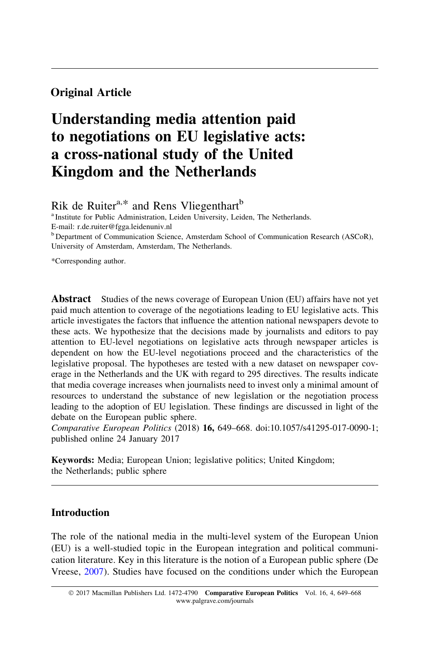## Original Article

# Understanding media attention paid to negotiations on EU legislative acts: a cross-national study of the United Kingdom and the Netherlands

Rik de Ruiter<sup>a,\*</sup> and Rens Vliegenthart<sup>b</sup>

<sup>a</sup> Institute for Public Administration, Leiden University, Leiden, The Netherlands. E-mail: r.de.ruiter@fgga.leidenuniv.nl

<sup>b</sup> Department of Communication Science, Amsterdam School of Communication Research (ASCoR), University of Amsterdam, Amsterdam, The Netherlands.

\*Corresponding author.

**Abstract** Studies of the news coverage of European Union (EU) affairs have not yet paid much attention to coverage of the negotiations leading to EU legislative acts. This article investigates the factors that influence the attention national newspapers devote to these acts. We hypothesize that the decisions made by journalists and editors to pay attention to EU-level negotiations on legislative acts through newspaper articles is dependent on how the EU-level negotiations proceed and the characteristics of the legislative proposal. The hypotheses are tested with a new dataset on newspaper coverage in the Netherlands and the UK with regard to 295 directives. The results indicate that media coverage increases when journalists need to invest only a minimal amount of resources to understand the substance of new legislation or the negotiation process leading to the adoption of EU legislation. These findings are discussed in light of the debate on the European public sphere.

Comparative European Politics (2018) 16, 649–668. doi:10.1057/s41295-017-0090-1; published online 24 January 2017

Keywords: Media; European Union; legislative politics; United Kingdom; the Netherlands; public sphere

## Introduction

The role of the national media in the multi-level system of the European Union (EU) is a well-studied topic in the European integration and political communication literature. Key in this literature is the notion of a European public sphere (De Vreese, [2007](#page-19-0)). Studies have focused on the conditions under which the European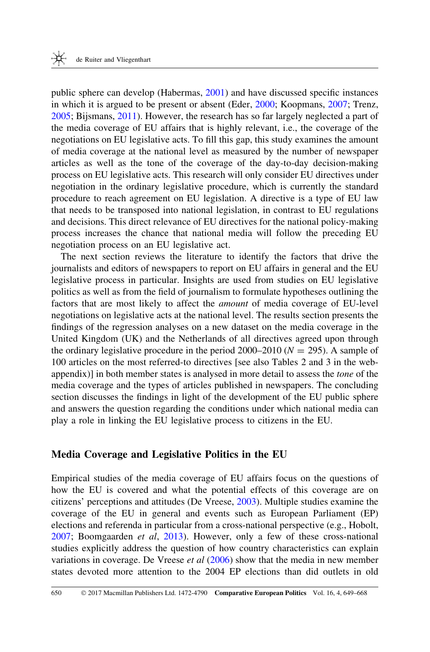public sphere can develop (Habermas, [2001](#page-19-0)) and have discussed specific instances in which it is argued to be present or absent (Eder, [2000;](#page-19-0) Koopmans, [2007](#page-19-0); Trenz, [2005](#page-20-0); Bijsmans, [2011](#page-18-0)). However, the research has so far largely neglected a part of the media coverage of EU affairs that is highly relevant, i.e., the coverage of the negotiations on EU legislative acts. To fill this gap, this study examines the amount of media coverage at the national level as measured by the number of newspaper articles as well as the tone of the coverage of the day-to-day decision-making process on EU legislative acts. This research will only consider EU directives under negotiation in the ordinary legislative procedure, which is currently the standard procedure to reach agreement on EU legislation. A directive is a type of EU law that needs to be transposed into national legislation, in contrast to EU regulations and decisions. This direct relevance of EU directives for the national policy-making process increases the chance that national media will follow the preceding EU negotiation process on an EU legislative act.

The next section reviews the literature to identify the factors that drive the journalists and editors of newspapers to report on EU affairs in general and the EU legislative process in particular. Insights are used from studies on EU legislative politics as well as from the field of journalism to formulate hypotheses outlining the factors that are most likely to affect the amount of media coverage of EU-level negotiations on legislative acts at the national level. The results section presents the findings of the regression analyses on a new dataset on the media coverage in the United Kingdom (UK) and the Netherlands of all directives agreed upon through the ordinary legislative procedure in the period 2000–2010 ( $N = 295$ ). A sample of 100 articles on the most referred-to directives [see also Tables 2 and 3 in the webappendix)] in both member states is analysed in more detail to assess the tone of the media coverage and the types of articles published in newspapers. The concluding section discusses the findings in light of the development of the EU public sphere and answers the question regarding the conditions under which national media can play a role in linking the EU legislative process to citizens in the EU.

## Media Coverage and Legislative Politics in the EU

Empirical studies of the media coverage of EU affairs focus on the questions of how the EU is covered and what the potential effects of this coverage are on citizens' perceptions and attitudes (De Vreese, [2003](#page-18-0)). Multiple studies examine the coverage of the EU in general and events such as European Parliament (EP) elections and referenda in particular from a cross-national perspective (e.g., Hobolt, [2007](#page-19-0); Boomgaarden et al, [2013](#page-18-0)). However, only a few of these cross-national studies explicitly address the question of how country characteristics can explain variations in coverage. De Vreese *et al*  $(2006)$  $(2006)$  show that the media in new member states devoted more attention to the 2004 EP elections than did outlets in old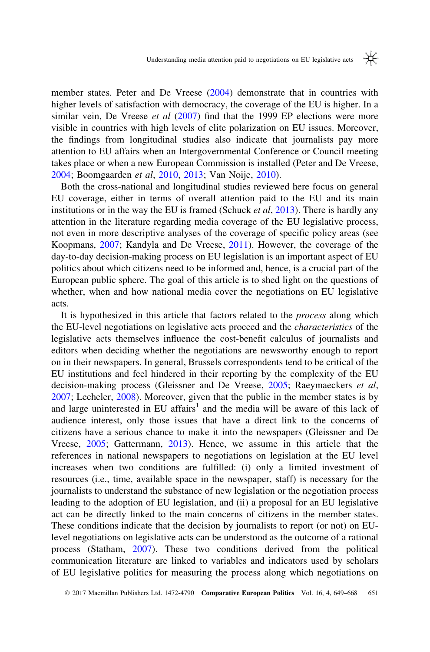member states. Peter and De Vreese ([2004\)](#page-20-0) demonstrate that in countries with higher levels of satisfaction with democracy, the coverage of the EU is higher. In a similar vein, De Vreese *et al ([2007\)](#page-19-0)* find that the 1999 EP elections were more visible in countries with high levels of elite polarization on EU issues. Moreover, the findings from longitudinal studies also indicate that journalists pay more attention to EU affairs when an Intergovernmental Conference or Council meeting takes place or when a new European Commission is installed (Peter and De Vreese, [2004](#page-20-0); Boomgaarden et al, [2010](#page-18-0), [2013;](#page-18-0) Van Noije, [2010](#page-20-0)).

Both the cross-national and longitudinal studies reviewed here focus on general EU coverage, either in terms of overall attention paid to the EU and its main institutions or in the way the EU is framed (Schuck *et al.* [2013](#page-20-0)). There is hardly any attention in the literature regarding media coverage of the EU legislative process, not even in more descriptive analyses of the coverage of specific policy areas (see Koopmans, [2007;](#page-19-0) Kandyla and De Vreese, [2011\)](#page-19-0). However, the coverage of the day-to-day decision-making process on EU legislation is an important aspect of EU politics about which citizens need to be informed and, hence, is a crucial part of the European public sphere. The goal of this article is to shed light on the questions of whether, when and how national media cover the negotiations on EU legislative acts.

It is hypothesized in this article that factors related to the process along which the EU-level negotiations on legislative acts proceed and the characteristics of the legislative acts themselves influence the cost-benefit calculus of journalists and editors when deciding whether the negotiations are newsworthy enough to report on in their newspapers. In general, Brussels correspondents tend to be critical of the EU institutions and feel hindered in their reporting by the complexity of the EU decision-making process (Gleissner and De Vreese, [2005](#page-19-0); Raeymaeckers et al, [2007](#page-20-0); Lecheler, [2008\)](#page-19-0). Moreover, given that the public in the member states is by and large uninterested in EU affairs<sup>1</sup> and the media will be aware of this lack of audience interest, only those issues that have a direct link to the concerns of citizens have a serious chance to make it into the newspapers (Gleissner and De Vreese, [2005](#page-19-0); Gattermann, [2013](#page-19-0)). Hence, we assume in this article that the references in national newspapers to negotiations on legislation at the EU level increases when two conditions are fulfilled: (i) only a limited investment of resources (i.e., time, available space in the newspaper, staff) is necessary for the journalists to understand the substance of new legislation or the negotiation process leading to the adoption of EU legislation, and (ii) a proposal for an EU legislative act can be directly linked to the main concerns of citizens in the member states. These conditions indicate that the decision by journalists to report (or not) on EUlevel negotiations on legislative acts can be understood as the outcome of a rational process (Statham, [2007](#page-20-0)). These two conditions derived from the political communication literature are linked to variables and indicators used by scholars of EU legislative politics for measuring the process along which negotiations on

<sup>© 2017</sup> Macmillan Publishers Ltd. 1472-4790 Comparative European Politics Vol. 16, 4, 649–668 651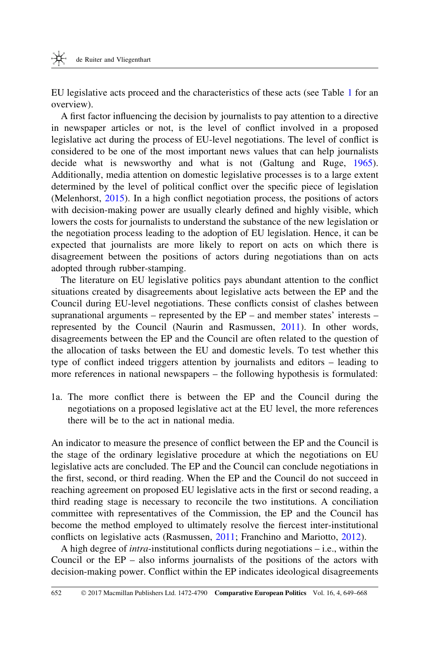EU legislative acts proceed and the characteristics of these acts (see Table [1](#page-5-0) for an overview).

A first factor influencing the decision by journalists to pay attention to a directive in newspaper articles or not, is the level of conflict involved in a proposed legislative act during the process of EU-level negotiations. The level of conflict is considered to be one of the most important news values that can help journalists decide what is newsworthy and what is not (Galtung and Ruge, [1965](#page-19-0)). Additionally, media attention on domestic legislative processes is to a large extent determined by the level of political conflict over the specific piece of legislation (Melenhorst, [2015](#page-19-0)). In a high conflict negotiation process, the positions of actors with decision-making power are usually clearly defined and highly visible, which lowers the costs for journalists to understand the substance of the new legislation or the negotiation process leading to the adoption of EU legislation. Hence, it can be expected that journalists are more likely to report on acts on which there is disagreement between the positions of actors during negotiations than on acts adopted through rubber-stamping.

The literature on EU legislative politics pays abundant attention to the conflict situations created by disagreements about legislative acts between the EP and the Council during EU-level negotiations. These conflicts consist of clashes between supranational arguments – represented by the EP – and member states' interests – represented by the Council (Naurin and Rasmussen, [2011](#page-19-0)). In other words, disagreements between the EP and the Council are often related to the question of the allocation of tasks between the EU and domestic levels. To test whether this type of conflict indeed triggers attention by journalists and editors – leading to more references in national newspapers – the following hypothesis is formulated:

1a. The more conflict there is between the EP and the Council during the negotiations on a proposed legislative act at the EU level, the more references there will be to the act in national media.

An indicator to measure the presence of conflict between the EP and the Council is the stage of the ordinary legislative procedure at which the negotiations on EU legislative acts are concluded. The EP and the Council can conclude negotiations in the first, second, or third reading. When the EP and the Council do not succeed in reaching agreement on proposed EU legislative acts in the first or second reading, a third reading stage is necessary to reconcile the two institutions. A conciliation committee with representatives of the Commission, the EP and the Council has become the method employed to ultimately resolve the fiercest inter-institutional conflicts on legislative acts (Rasmussen, [2011](#page-20-0); Franchino and Mariotto, [2012](#page-19-0)).

A high degree of intra-institutional conflicts during negotiations – i.e., within the Council or the EP – also informs journalists of the positions of the actors with decision-making power. Conflict within the EP indicates ideological disagreements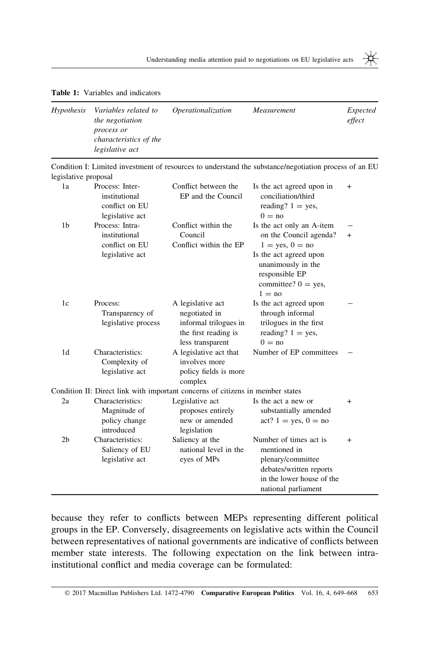<span id="page-5-0"></span>Table 1: Variables and indicators

| <b>Hypothesis</b> | Variables related to<br>the negotiation<br>process or<br>characteristics of the<br>legislative act | Operationalization | Measurement | Expected<br>effect |
|-------------------|----------------------------------------------------------------------------------------------------|--------------------|-------------|--------------------|
|                   |                                                                                                    |                    |             |                    |

Condition I: Limited investment of resources to understand the substance/negotiation process of an EU legislative proposal

| 1a             | Process: Inter-<br>institutional<br>conflict on EU<br>legislative act | Conflict between the<br>EP and the Council                                     | Is the act agreed upon in<br>conciliation/third<br>reading? $1 = yes$ ,<br>$0 = no$                  | $^{+}$ |
|----------------|-----------------------------------------------------------------------|--------------------------------------------------------------------------------|------------------------------------------------------------------------------------------------------|--------|
| 1 <sub>b</sub> | Process: Intra-                                                       | Conflict within the                                                            | Is the act only an A-item                                                                            |        |
|                | institutional                                                         | Council                                                                        | on the Council agenda?                                                                               | $^{+}$ |
|                | conflict on EU                                                        | Conflict within the EP                                                         | $1 = \text{ves}, 0 = \text{no}$                                                                      |        |
|                | legislative act                                                       |                                                                                | Is the act agreed upon<br>unanimously in the<br>responsible EP<br>committee? $0 = yes$ ,<br>$1 = no$ |        |
| 1c             | Process:                                                              | A legislative act                                                              | Is the act agreed upon                                                                               |        |
|                | Transparency of                                                       | negotiated in                                                                  | through informal                                                                                     |        |
|                | legislative process                                                   | informal trilogues in                                                          | trilogues in the first                                                                               |        |
|                |                                                                       | the first reading is                                                           | reading? $1 = yes$ ,<br>$0 = no$                                                                     |        |
| 1 <sub>d</sub> | Characteristics:                                                      | less transparent<br>A legislative act that                                     | Number of EP committees                                                                              |        |
|                | Complexity of                                                         | involves more                                                                  |                                                                                                      |        |
|                | legislative act                                                       | policy fields is more                                                          |                                                                                                      |        |
|                |                                                                       | complex                                                                        |                                                                                                      |        |
|                | Characteristics:                                                      | Condition II: Direct link with important concerns of citizens in member states |                                                                                                      |        |
| 2a             | Magnitude of                                                          | Legislative act<br>proposes entirely                                           | Is the act a new or<br>substantially amended                                                         | $^{+}$ |
|                | policy change                                                         | new or amended                                                                 | $act? 1 = yes, 0 = no$                                                                               |        |
|                | introduced                                                            | legislation                                                                    |                                                                                                      |        |
| 2 <sub>b</sub> | Characteristics:                                                      | Saliency at the                                                                | Number of times act is                                                                               | $+$    |
|                | Saliency of EU<br>legislative act                                     | national level in the                                                          | mentioned in                                                                                         |        |
|                |                                                                       | eyes of MPs                                                                    | plenary/committee                                                                                    |        |
|                |                                                                       |                                                                                | debates/written reports                                                                              |        |
|                |                                                                       |                                                                                | in the lower house of the                                                                            |        |
|                |                                                                       |                                                                                | national parliament                                                                                  |        |

because they refer to conflicts between MEPs representing different political groups in the EP. Conversely, disagreements on legislative acts within the Council between representatives of national governments are indicative of conflicts between member state interests. The following expectation on the link between intrainstitutional conflict and media coverage can be formulated:

₩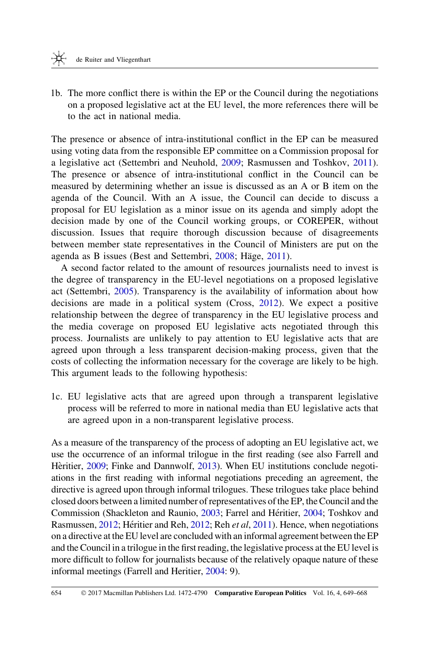1b. The more conflict there is within the EP or the Council during the negotiations on a proposed legislative act at the EU level, the more references there will be to the act in national media.

The presence or absence of intra-institutional conflict in the EP can be measured using voting data from the responsible EP committee on a Commission proposal for a legislative act (Settembri and Neuhold, [2009](#page-20-0); Rasmussen and Toshkov, [2011](#page-20-0)). The presence or absence of intra-institutional conflict in the Council can be measured by determining whether an issue is discussed as an A or B item on the agenda of the Council. With an A issue, the Council can decide to discuss a proposal for EU legislation as a minor issue on its agenda and simply adopt the decision made by one of the Council working groups, or COREPER, without discussion. Issues that require thorough discussion because of disagreements between member state representatives in the Council of Ministers are put on the agenda as B issues (Best and Settembri, [2008;](#page-18-0) Häge, [2011\)](#page-19-0).

A second factor related to the amount of resources journalists need to invest is the degree of transparency in the EU-level negotiations on a proposed legislative act (Settembri, [2005\)](#page-20-0). Transparency is the availability of information about how decisions are made in a political system (Cross, [2012\)](#page-18-0). We expect a positive relationship between the degree of transparency in the EU legislative process and the media coverage on proposed EU legislative acts negotiated through this process. Journalists are unlikely to pay attention to EU legislative acts that are agreed upon through a less transparent decision-making process, given that the costs of collecting the information necessary for the coverage are likely to be high. This argument leads to the following hypothesis:

1c. EU legislative acts that are agreed upon through a transparent legislative process will be referred to more in national media than EU legislative acts that are agreed upon in a non-transparent legislative process.

As a measure of the transparency of the process of adopting an EU legislative act, we use the occurrence of an informal trilogue in the first reading (see also Farrell and Hèritier, [2009](#page-19-0); Finke and Dannwolf, [2013\)](#page-19-0). When EU institutions conclude negotiations in the first reading with informal negotiations preceding an agreement, the directive is agreed upon through informal trilogues. These trilogues take place behind closed doors between a limited number of representatives of the EP, the Council and the Commission (Shackleton and Raunio, [2003](#page-20-0); Farrel and Héritier, [2004;](#page-19-0) Toshkov and Rasmussen, [2012;](#page-20-0) Héritier and Reh, [2012](#page-19-0); Reh et al, [2011](#page-20-0)). Hence, when negotiations on a directive at the EU level are concluded with an informal agreement between the EP and the Council in a trilogue in the first reading, the legislative process at the EU level is more difficult to follow for journalists because of the relatively opaque nature of these informal meetings (Farrell and Heritier, [2004:](#page-19-0) 9).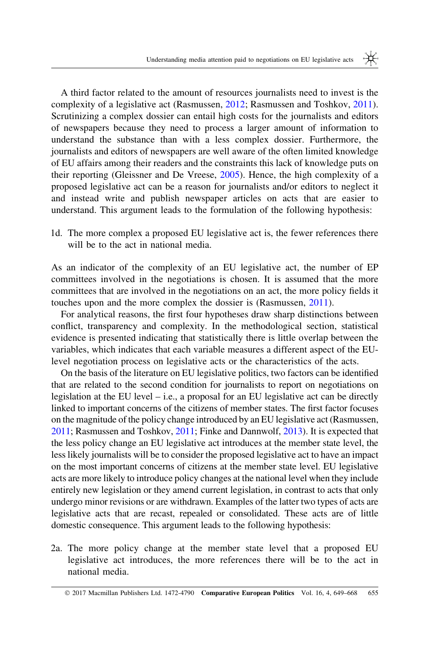A third factor related to the amount of resources journalists need to invest is the complexity of a legislative act (Rasmussen, [2012;](#page-20-0) Rasmussen and Toshkov, [2011](#page-20-0)). Scrutinizing a complex dossier can entail high costs for the journalists and editors of newspapers because they need to process a larger amount of information to understand the substance than with a less complex dossier. Furthermore, the journalists and editors of newspapers are well aware of the often limited knowledge of EU affairs among their readers and the constraints this lack of knowledge puts on their reporting (Gleissner and De Vreese, [2005](#page-19-0)). Hence, the high complexity of a proposed legislative act can be a reason for journalists and/or editors to neglect it and instead write and publish newspaper articles on acts that are easier to understand. This argument leads to the formulation of the following hypothesis:

1d. The more complex a proposed EU legislative act is, the fewer references there will be to the act in national media.

As an indicator of the complexity of an EU legislative act, the number of EP committees involved in the negotiations is chosen. It is assumed that the more committees that are involved in the negotiations on an act, the more policy fields it touches upon and the more complex the dossier is (Rasmussen, [2011\)](#page-20-0).

For analytical reasons, the first four hypotheses draw sharp distinctions between conflict, transparency and complexity. In the methodological section, statistical evidence is presented indicating that statistically there is little overlap between the variables, which indicates that each variable measures a different aspect of the EUlevel negotiation process on legislative acts or the characteristics of the acts.

On the basis of the literature on EU legislative politics, two factors can be identified that are related to the second condition for journalists to report on negotiations on legislation at the EU level  $-$  i.e., a proposal for an EU legislative act can be directly linked to important concerns of the citizens of member states. The first factor focuses on the magnitude of the policy change introduced by an EU legislative act (Rasmussen, [2011](#page-20-0); Rasmussen and Toshkov, [2011](#page-20-0); Finke and Dannwolf, [2013](#page-19-0)). It is expected that the less policy change an EU legislative act introduces at the member state level, the less likely journalists will be to consider the proposed legislative act to have an impact on the most important concerns of citizens at the member state level. EU legislative acts are more likely to introduce policy changes at the national level when they include entirely new legislation or they amend current legislation, in contrast to acts that only undergo minor revisions or are withdrawn. Examples of the latter two types of acts are legislative acts that are recast, repealed or consolidated. These acts are of little domestic consequence. This argument leads to the following hypothesis:

2a. The more policy change at the member state level that a proposed EU legislative act introduces, the more references there will be to the act in national media.

<sup>© 2017</sup> Macmillan Publishers Ltd. 1472-4790 **Comparative European Politics** Vol. 16, 4, 649–668 655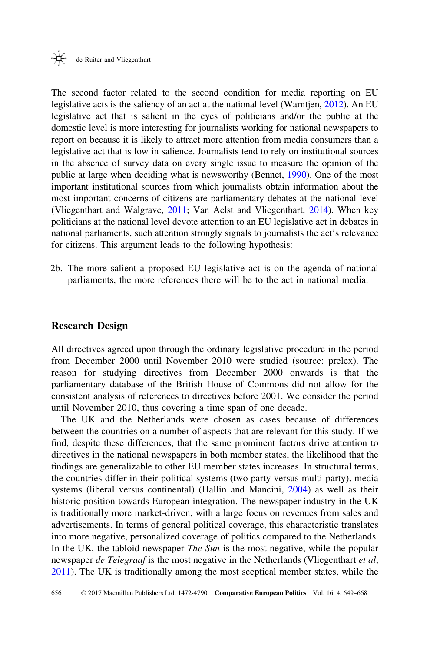The second factor related to the second condition for media reporting on EU legislative acts is the saliency of an act at the national level (Warntjen, [2012](#page-20-0)). An EU legislative act that is salient in the eyes of politicians and/or the public at the domestic level is more interesting for journalists working for national newspapers to report on because it is likely to attract more attention from media consumers than a legislative act that is low in salience. Journalists tend to rely on institutional sources in the absence of survey data on every single issue to measure the opinion of the public at large when deciding what is newsworthy (Bennet, [1990](#page-18-0)). One of the most important institutional sources from which journalists obtain information about the most important concerns of citizens are parliamentary debates at the national level (Vliegenthart and Walgrave, [2011;](#page-20-0) Van Aelst and Vliegenthart, [2014\)](#page-20-0). When key politicians at the national level devote attention to an EU legislative act in debates in national parliaments, such attention strongly signals to journalists the act's relevance for citizens. This argument leads to the following hypothesis:

2b. The more salient a proposed EU legislative act is on the agenda of national parliaments, the more references there will be to the act in national media.

## Research Design

All directives agreed upon through the ordinary legislative procedure in the period from December 2000 until November 2010 were studied (source: prelex). The reason for studying directives from December 2000 onwards is that the parliamentary database of the British House of Commons did not allow for the consistent analysis of references to directives before 2001. We consider the period until November 2010, thus covering a time span of one decade.

The UK and the Netherlands were chosen as cases because of differences between the countries on a number of aspects that are relevant for this study. If we find, despite these differences, that the same prominent factors drive attention to directives in the national newspapers in both member states, the likelihood that the findings are generalizable to other EU member states increases. In structural terms, the countries differ in their political systems (two party versus multi-party), media systems (liberal versus continental) (Hallin and Mancini, [2004\)](#page-19-0) as well as their historic position towards European integration. The newspaper industry in the UK is traditionally more market-driven, with a large focus on revenues from sales and advertisements. In terms of general political coverage, this characteristic translates into more negative, personalized coverage of politics compared to the Netherlands. In the UK, the tabloid newspaper *The Sun* is the most negative, while the popular newspaper *de Telegraaf* is the most negative in the Netherlands (Vliegenthart *et al*, [2011](#page-20-0)). The UK is traditionally among the most sceptical member states, while the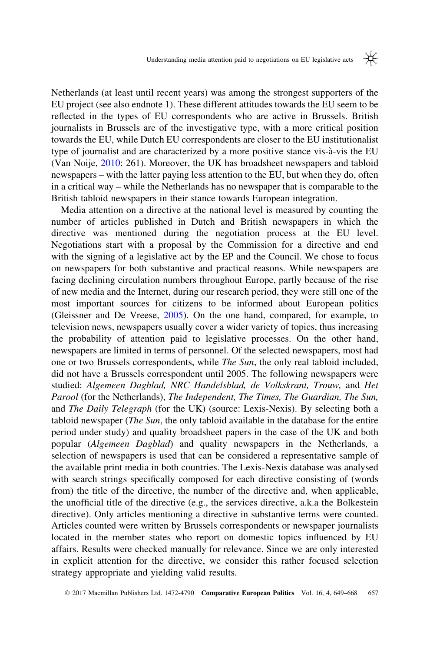Netherlands (at least until recent years) was among the strongest supporters of the EU project (see also endnote 1). These different attitudes towards the EU seem to be reflected in the types of EU correspondents who are active in Brussels. British journalists in Brussels are of the investigative type, with a more critical position towards the EU, while Dutch EU correspondents are closer to the EU institutionalist type of journalist and are characterized by a more positive stance vis-a`-vis the EU (Van Noije, [2010:](#page-20-0) 261). Moreover, the UK has broadsheet newspapers and tabloid newspapers – with the latter paying less attention to the EU, but when they do, often in a critical way – while the Netherlands has no newspaper that is comparable to the British tabloid newspapers in their stance towards European integration.

Media attention on a directive at the national level is measured by counting the number of articles published in Dutch and British newspapers in which the directive was mentioned during the negotiation process at the EU level. Negotiations start with a proposal by the Commission for a directive and end with the signing of a legislative act by the EP and the Council. We chose to focus on newspapers for both substantive and practical reasons. While newspapers are facing declining circulation numbers throughout Europe, partly because of the rise of new media and the Internet, during our research period, they were still one of the most important sources for citizens to be informed about European politics (Gleissner and De Vreese, [2005](#page-19-0)). On the one hand, compared, for example, to television news, newspapers usually cover a wider variety of topics, thus increasing the probability of attention paid to legislative processes. On the other hand, newspapers are limited in terms of personnel. Of the selected newspapers, most had one or two Brussels correspondents, while The Sun, the only real tabloid included, did not have a Brussels correspondent until 2005. The following newspapers were studied: Algemeen Dagblad, NRC Handelsblad, de Volkskrant, Trouw, and Het Parool (for the Netherlands), The Independent, The Times, The Guardian, The Sun, and The Daily Telegraph (for the UK) (source: Lexis-Nexis). By selecting both a tabloid newspaper (The Sun, the only tabloid available in the database for the entire period under study) and quality broadsheet papers in the case of the UK and both popular (Algemeen Dagblad) and quality newspapers in the Netherlands, a selection of newspapers is used that can be considered a representative sample of the available print media in both countries. The Lexis-Nexis database was analysed with search strings specifically composed for each directive consisting of (words from) the title of the directive, the number of the directive and, when applicable, the unofficial title of the directive (e.g., the services directive, a.k.a the Bolkestein directive). Only articles mentioning a directive in substantive terms were counted. Articles counted were written by Brussels correspondents or newspaper journalists located in the member states who report on domestic topics influenced by EU affairs. Results were checked manually for relevance. Since we are only interested in explicit attention for the directive, we consider this rather focused selection strategy appropriate and yielding valid results.

<sup>© 2017</sup> Macmillan Publishers Ltd. 1472-4790 **Comparative European Politics** Vol. 16, 4, 649–668 657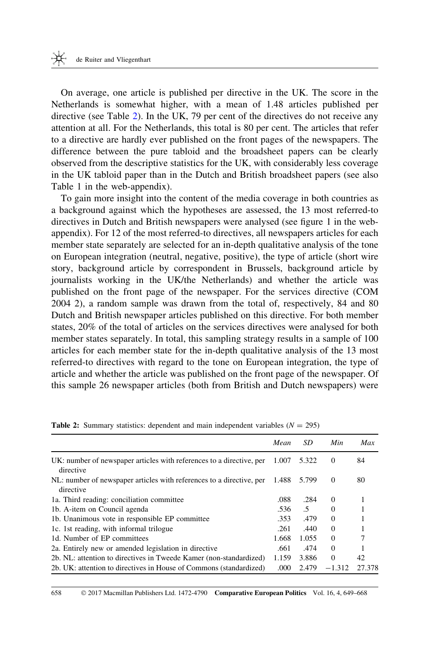<span id="page-10-0"></span>On average, one article is published per directive in the UK. The score in the Netherlands is somewhat higher, with a mean of 1.48 articles published per directive (see Table 2). In the UK, 79 per cent of the directives do not receive any attention at all. For the Netherlands, this total is 80 per cent. The articles that refer to a directive are hardly ever published on the front pages of the newspapers. The difference between the pure tabloid and the broadsheet papers can be clearly observed from the descriptive statistics for the UK, with considerably less coverage in the UK tabloid paper than in the Dutch and British broadsheet papers (see also Table 1 in the web-appendix).

To gain more insight into the content of the media coverage in both countries as a background against which the hypotheses are assessed, the 13 most referred-to directives in Dutch and British newspapers were analysed (see figure 1 in the webappendix). For 12 of the most referred-to directives, all newspapers articles for each member state separately are selected for an in-depth qualitative analysis of the tone on European integration (neutral, negative, positive), the type of article (short wire story, background article by correspondent in Brussels, background article by journalists working in the UK/the Netherlands) and whether the article was published on the front page of the newspaper. For the services directive (COM 2004 2), a random sample was drawn from the total of, respectively, 84 and 80 Dutch and British newspaper articles published on this directive. For both member states, 20% of the total of articles on the services directives were analysed for both member states separately. In total, this sampling strategy results in a sample of 100 articles for each member state for the in-depth qualitative analysis of the 13 most referred-to directives with regard to the tone on European integration, the type of article and whether the article was published on the front page of the newspaper. Of this sample 26 newspaper articles (both from British and Dutch newspapers) were

|                                                                                   | Mean  | SD    | Min      | Max    |
|-----------------------------------------------------------------------------------|-------|-------|----------|--------|
| UK: number of newspaper articles with references to a directive, per<br>directive | 1.007 | 5.322 | $\Omega$ | 84     |
| NL: number of newspaper articles with references to a directive, per<br>directive | 1.488 | 5.799 | $\theta$ | 80     |
| 1a. Third reading: conciliation committee                                         | .088  | .284  | $\Omega$ |        |
| 1b. A-item on Council agenda                                                      | .536  | .5    | $\Omega$ |        |
| 1b. Unanimous vote in responsible EP committee                                    | .353  | .479  | $\Omega$ |        |
| 1c. 1st reading, with informal trilogue                                           | .261  | .440  | $\Omega$ |        |
| 1d. Number of EP committees                                                       | 1.668 | 1.055 | $\Omega$ |        |
| 2a. Entirely new or amended legislation in directive                              | .661  | .474  | $\Omega$ |        |
| 2b. NL: attention to directives in Tweede Kamer (non-standardized)                | 1.159 | 3.886 | $\Omega$ | 42     |
| 2b. UK: attention to directives in House of Commons (standardized)                | .000  | 2.479 | $-1.312$ | 27.378 |

**Table 2:** Summary statistics: dependent and main independent variables  $(N = 295)$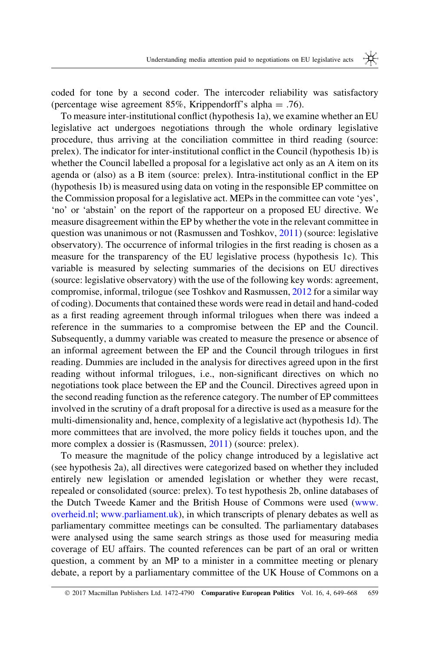coded for tone by a second coder. The intercoder reliability was satisfactory (percentage wise agreement 85%, Krippendorff's alpha = .76).

To measure inter-institutional conflict (hypothesis 1a), we examine whether an EU legislative act undergoes negotiations through the whole ordinary legislative procedure, thus arriving at the conciliation committee in third reading (source: prelex). The indicator for inter-institutional conflict in the Council (hypothesis 1b) is whether the Council labelled a proposal for a legislative act only as an A item on its agenda or (also) as a B item (source: prelex). Intra-institutional conflict in the EP (hypothesis 1b) is measured using data on voting in the responsible EP committee on the Commission proposal for a legislative act. MEPs in the committee can vote 'yes', 'no' or 'abstain' on the report of the rapporteur on a proposed EU directive. We measure disagreement within the EP by whether the vote in the relevant committee in question was unanimous or not (Rasmussen and Toshkov, [2011](#page-20-0)) (source: legislative observatory). The occurrence of informal trilogies in the first reading is chosen as a measure for the transparency of the EU legislative process (hypothesis 1c). This variable is measured by selecting summaries of the decisions on EU directives (source: legislative observatory) with the use of the following key words: agreement, compromise, informal, trilogue (see Toshkov and Rasmussen, [2012](#page-20-0) for a similar way of coding). Documents that contained these words were read in detail and hand-coded as a first reading agreement through informal trilogues when there was indeed a reference in the summaries to a compromise between the EP and the Council. Subsequently, a dummy variable was created to measure the presence or absence of an informal agreement between the EP and the Council through trilogues in first reading. Dummies are included in the analysis for directives agreed upon in the first reading without informal trilogues, i.e., non-significant directives on which no negotiations took place between the EP and the Council. Directives agreed upon in the second reading function as the reference category. The number of EP committees involved in the scrutiny of a draft proposal for a directive is used as a measure for the multi-dimensionality and, hence, complexity of a legislative act (hypothesis 1d). The more committees that are involved, the more policy fields it touches upon, and the more complex a dossier is (Rasmussen, [2011\)](#page-20-0) (source: prelex).

To measure the magnitude of the policy change introduced by a legislative act (see hypothesis 2a), all directives were categorized based on whether they included entirely new legislation or amended legislation or whether they were recast, repealed or consolidated (source: prelex). To test hypothesis 2b, online databases of the Dutch Tweede Kamer and the British House of Commons were used ([www.](http://www.overheid.nl) [overheid.nl;](http://www.overheid.nl) [www.parliament.uk](http://www.parliament.uk)), in which transcripts of plenary debates as well as parliamentary committee meetings can be consulted. The parliamentary databases were analysed using the same search strings as those used for measuring media coverage of EU affairs. The counted references can be part of an oral or written question, a comment by an MP to a minister in a committee meeting or plenary debate, a report by a parliamentary committee of the UK House of Commons on a

<sup>© 2017</sup> Macmillan Publishers Ltd. 1472-4790 **Comparative European Politics** Vol. 16, 4, 649–668 659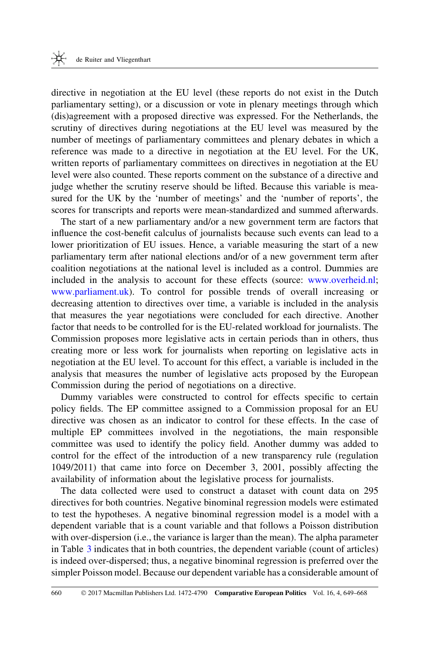directive in negotiation at the EU level (these reports do not exist in the Dutch parliamentary setting), or a discussion or vote in plenary meetings through which (dis)agreement with a proposed directive was expressed. For the Netherlands, the scrutiny of directives during negotiations at the EU level was measured by the number of meetings of parliamentary committees and plenary debates in which a reference was made to a directive in negotiation at the EU level. For the UK, written reports of parliamentary committees on directives in negotiation at the EU level were also counted. These reports comment on the substance of a directive and judge whether the scrutiny reserve should be lifted. Because this variable is measured for the UK by the 'number of meetings' and the 'number of reports', the scores for transcripts and reports were mean-standardized and summed afterwards.

The start of a new parliamentary and/or a new government term are factors that influence the cost-benefit calculus of journalists because such events can lead to a lower prioritization of EU issues. Hence, a variable measuring the start of a new parliamentary term after national elections and/or of a new government term after coalition negotiations at the national level is included as a control. Dummies are included in the analysis to account for these effects (source: [www.overheid.nl](http://www.overheid.nl); [www.parliament.uk\)](http://www.parliament.uk). To control for possible trends of overall increasing or decreasing attention to directives over time, a variable is included in the analysis that measures the year negotiations were concluded for each directive. Another factor that needs to be controlled for is the EU-related workload for journalists. The Commission proposes more legislative acts in certain periods than in others, thus creating more or less work for journalists when reporting on legislative acts in negotiation at the EU level. To account for this effect, a variable is included in the analysis that measures the number of legislative acts proposed by the European Commission during the period of negotiations on a directive.

Dummy variables were constructed to control for effects specific to certain policy fields. The EP committee assigned to a Commission proposal for an EU directive was chosen as an indicator to control for these effects. In the case of multiple EP committees involved in the negotiations, the main responsible committee was used to identify the policy field. Another dummy was added to control for the effect of the introduction of a new transparency rule (regulation 1049/2011) that came into force on December 3, 2001, possibly affecting the availability of information about the legislative process for journalists.

The data collected were used to construct a dataset with count data on 295 directives for both countries. Negative binominal regression models were estimated to test the hypotheses. A negative binominal regression model is a model with a dependent variable that is a count variable and that follows a Poisson distribution with over-dispersion (i.e., the variance is larger than the mean). The alpha parameter in Table [3](#page-14-0) indicates that in both countries, the dependent variable (count of articles) is indeed over-dispersed; thus, a negative binominal regression is preferred over the simpler Poisson model. Because our dependent variable has a considerable amount of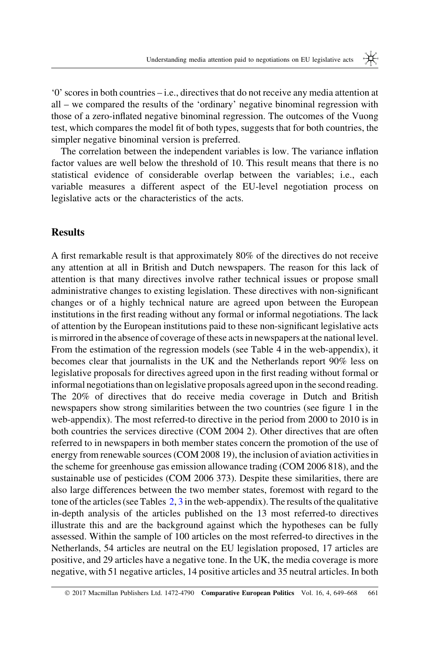'0' scores in both countries – i.e., directives that do not receive any media attention at all – we compared the results of the 'ordinary' negative binominal regression with those of a zero-inflated negative binominal regression. The outcomes of the Vuong test, which compares the model fit of both types, suggests that for both countries, the simpler negative binominal version is preferred.

The correlation between the independent variables is low. The variance inflation factor values are well below the threshold of 10. This result means that there is no statistical evidence of considerable overlap between the variables; i.e., each variable measures a different aspect of the EU-level negotiation process on legislative acts or the characteristics of the acts.

#### **Results**

A first remarkable result is that approximately 80% of the directives do not receive any attention at all in British and Dutch newspapers. The reason for this lack of attention is that many directives involve rather technical issues or propose small administrative changes to existing legislation. These directives with non-significant changes or of a highly technical nature are agreed upon between the European institutions in the first reading without any formal or informal negotiations. The lack of attention by the European institutions paid to these non-significant legislative acts is mirrored in the absence of coverage of these acts in newspapers at the national level. From the estimation of the regression models (see Table 4 in the web-appendix), it becomes clear that journalists in the UK and the Netherlands report 90% less on legislative proposals for directives agreed upon in the first reading without formal or informal negotiations than on legislative proposals agreed upon in the second reading. The 20% of directives that do receive media coverage in Dutch and British newspapers show strong similarities between the two countries (see figure 1 in the web-appendix). The most referred-to directive in the period from 2000 to 2010 is in both countries the services directive (COM 2004 2). Other directives that are often referred to in newspapers in both member states concern the promotion of the use of energy from renewable sources (COM 2008 19), the inclusion of aviation activities in the scheme for greenhouse gas emission allowance trading (COM 2006 818), and the sustainable use of pesticides (COM 2006 373). Despite these similarities, there are also large differences between the two member states, foremost with regard to the tone of the articles (see Tables [2](#page-10-0), [3](#page-14-0) in the web-appendix). The results of the qualitative in-depth analysis of the articles published on the 13 most referred-to directives illustrate this and are the background against which the hypotheses can be fully assessed. Within the sample of 100 articles on the most referred-to directives in the Netherlands, 54 articles are neutral on the EU legislation proposed, 17 articles are positive, and 29 articles have a negative tone. In the UK, the media coverage is more negative, with 51 negative articles, 14 positive articles and 35 neutral articles. In both

<sup>© 2017</sup> Macmillan Publishers Ltd. 1472-4790 Comparative European Politics Vol. 16, 4, 649–668 661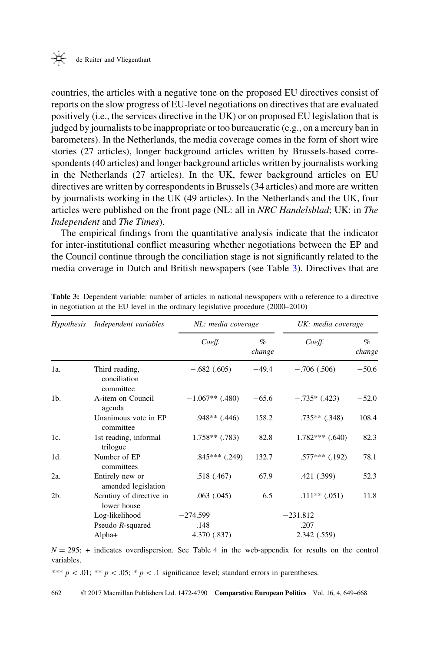<span id="page-14-0"></span>countries, the articles with a negative tone on the proposed EU directives consist of reports on the slow progress of EU-level negotiations on directives that are evaluated positively (i.e., the services directive in the UK) or on proposed EU legislation that is judged by journalists to be inappropriate or too bureaucratic (e.g., on a mercury ban in barometers). In the Netherlands, the media coverage comes in the form of short wire stories (27 articles), longer background articles written by Brussels-based correspondents (40 articles) and longer background articles written by journalists working in the Netherlands (27 articles). In the UK, fewer background articles on EU directives are written by correspondents in Brussels (34 articles) and more are written by journalists working in the UK (49 articles). In the Netherlands and the UK, four articles were published on the front page (NL: all in NRC Handelsblad; UK: in The Independent and The Times).

The empirical findings from the quantitative analysis indicate that the indicator for inter-institutional conflict measuring whether negotiations between the EP and the Council continue through the conciliation stage is not significantly related to the media coverage in Dutch and British newspapers (see Table 3). Directives that are

| <i>Hypothesis</i> | Independent variables                       | NL: media coverage |                | UK: media coverage |                |
|-------------------|---------------------------------------------|--------------------|----------------|--------------------|----------------|
|                   |                                             | Coeff.             | $\%$<br>change | Coeff.             | $\%$<br>change |
| 1a.               | Third reading,<br>conciliation<br>committee | $-.682(.605)$      | $-49.4$        | $-.706(.506)$      | $-50.6$        |
| 1 <sub>b</sub>    | A-item on Council<br>agenda                 | $-1.067**$ (.480)  | $-65.6$        | $-.735*(.423)$     | $-52.0$        |
|                   | Unanimous vote in EP<br>committee           | $.948**$ (.446)    | 158.2          | $.735**$ $(.348)$  | 108.4          |
| 1c.               | 1st reading, informal<br>trilogue           | $-1.758**$ (.783)  | $-82.8$        | $-1.782***$ (.640) | $-82.3$        |
| 1d.               | Number of EP<br>committees                  | $.845***$ $(.249)$ | 132.7          | $.577***$ (.192)   | 78.1           |
| 2a.               | Entirely new or<br>amended legislation      | .518(.467)         | 67.9           | .421 (.399)        | 52.3           |
| 2 <sub>b</sub>    | Scrutiny of directive in<br>lower house     | .063(.045)         | 6.5            | $.111**$ (.051)    | 11.8           |
|                   | Log-likelihood                              | $-274.599$         |                | $-231.812$         |                |
|                   | Pseudo $R$ -squared                         | .148               |                | .207               |                |
|                   | Alpha+                                      | 4.370 (.837)       |                | 2.342 (.559)       |                |

Table 3: Dependent variable: number of articles in national newspapers with a reference to a directive in negotiation at the EU level in the ordinary legislative procedure (2000–2010)

 $N = 295$ ; + indicates overdispersion. See Table 4 in the web-appendix for results on the control variables.

\*\*\*  $p$  < .01; \*\*  $p$  < .05; \*  $p$  < .1 significance level; standard errors in parentheses.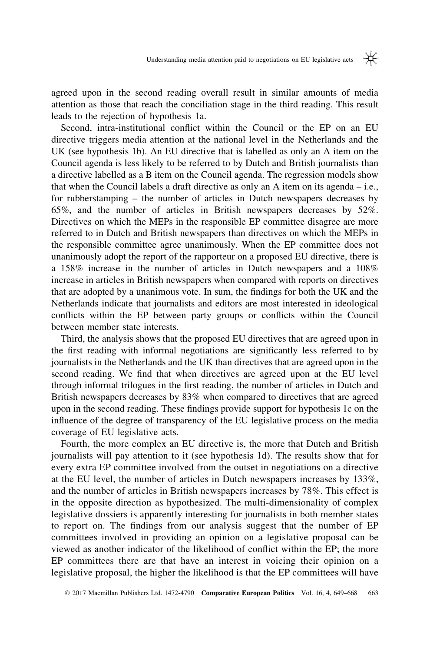agreed upon in the second reading overall result in similar amounts of media attention as those that reach the conciliation stage in the third reading. This result leads to the rejection of hypothesis 1a.

Second, intra-institutional conflict within the Council or the EP on an EU directive triggers media attention at the national level in the Netherlands and the UK (see hypothesis 1b). An EU directive that is labelled as only an A item on the Council agenda is less likely to be referred to by Dutch and British journalists than a directive labelled as a B item on the Council agenda. The regression models show that when the Council labels a draft directive as only an A item on its agenda – i.e., for rubberstamping – the number of articles in Dutch newspapers decreases by 65%, and the number of articles in British newspapers decreases by 52%. Directives on which the MEPs in the responsible EP committee disagree are more referred to in Dutch and British newspapers than directives on which the MEPs in the responsible committee agree unanimously. When the EP committee does not unanimously adopt the report of the rapporteur on a proposed EU directive, there is a 158% increase in the number of articles in Dutch newspapers and a 108% increase in articles in British newspapers when compared with reports on directives that are adopted by a unanimous vote. In sum, the findings for both the UK and the Netherlands indicate that journalists and editors are most interested in ideological conflicts within the EP between party groups or conflicts within the Council between member state interests.

Third, the analysis shows that the proposed EU directives that are agreed upon in the first reading with informal negotiations are significantly less referred to by journalists in the Netherlands and the UK than directives that are agreed upon in the second reading. We find that when directives are agreed upon at the EU level through informal trilogues in the first reading, the number of articles in Dutch and British newspapers decreases by 83% when compared to directives that are agreed upon in the second reading. These findings provide support for hypothesis 1c on the influence of the degree of transparency of the EU legislative process on the media coverage of EU legislative acts.

Fourth, the more complex an EU directive is, the more that Dutch and British journalists will pay attention to it (see hypothesis 1d). The results show that for every extra EP committee involved from the outset in negotiations on a directive at the EU level, the number of articles in Dutch newspapers increases by 133%, and the number of articles in British newspapers increases by 78%. This effect is in the opposite direction as hypothesized. The multi-dimensionality of complex legislative dossiers is apparently interesting for journalists in both member states to report on. The findings from our analysis suggest that the number of EP committees involved in providing an opinion on a legislative proposal can be viewed as another indicator of the likelihood of conflict within the EP; the more EP committees there are that have an interest in voicing their opinion on a legislative proposal, the higher the likelihood is that the EP committees will have

<sup>© 2017</sup> Macmillan Publishers Ltd. 1472-4790 **Comparative European Politics** Vol. 16, 4, 649–668 663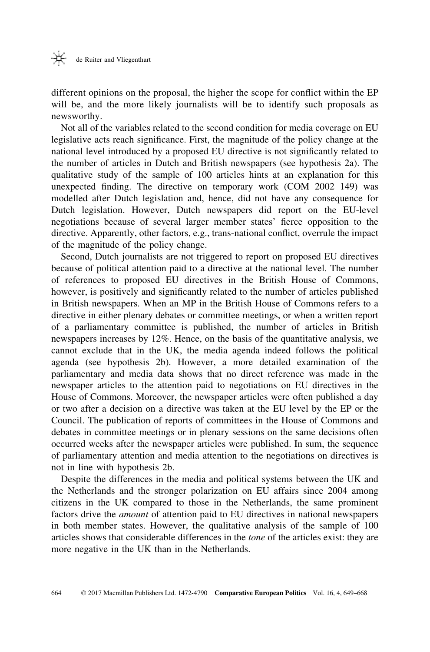different opinions on the proposal, the higher the scope for conflict within the EP will be, and the more likely journalists will be to identify such proposals as newsworthy.

Not all of the variables related to the second condition for media coverage on EU legislative acts reach significance. First, the magnitude of the policy change at the national level introduced by a proposed EU directive is not significantly related to the number of articles in Dutch and British newspapers (see hypothesis 2a). The qualitative study of the sample of 100 articles hints at an explanation for this unexpected finding. The directive on temporary work (COM 2002 149) was modelled after Dutch legislation and, hence, did not have any consequence for Dutch legislation. However, Dutch newspapers did report on the EU-level negotiations because of several larger member states' fierce opposition to the directive. Apparently, other factors, e.g., trans-national conflict, overrule the impact of the magnitude of the policy change.

Second, Dutch journalists are not triggered to report on proposed EU directives because of political attention paid to a directive at the national level. The number of references to proposed EU directives in the British House of Commons, however, is positively and significantly related to the number of articles published in British newspapers. When an MP in the British House of Commons refers to a directive in either plenary debates or committee meetings, or when a written report of a parliamentary committee is published, the number of articles in British newspapers increases by 12%. Hence, on the basis of the quantitative analysis, we cannot exclude that in the UK, the media agenda indeed follows the political agenda (see hypothesis 2b). However, a more detailed examination of the parliamentary and media data shows that no direct reference was made in the newspaper articles to the attention paid to negotiations on EU directives in the House of Commons. Moreover, the newspaper articles were often published a day or two after a decision on a directive was taken at the EU level by the EP or the Council. The publication of reports of committees in the House of Commons and debates in committee meetings or in plenary sessions on the same decisions often occurred weeks after the newspaper articles were published. In sum, the sequence of parliamentary attention and media attention to the negotiations on directives is not in line with hypothesis 2b.

Despite the differences in the media and political systems between the UK and the Netherlands and the stronger polarization on EU affairs since 2004 among citizens in the UK compared to those in the Netherlands, the same prominent factors drive the amount of attention paid to EU directives in national newspapers in both member states. However, the qualitative analysis of the sample of 100 articles shows that considerable differences in the tone of the articles exist: they are more negative in the UK than in the Netherlands.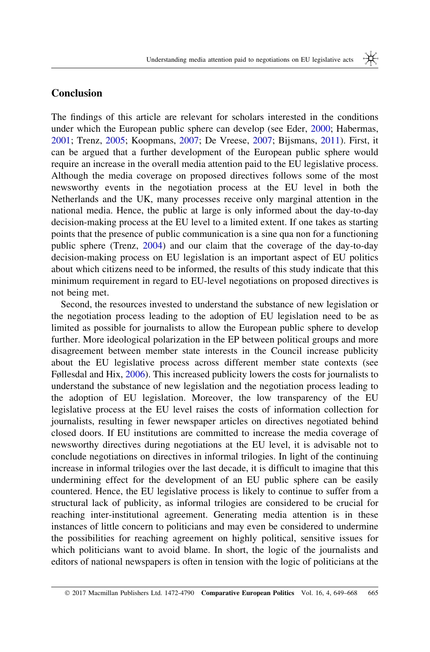#### Conclusion

The findings of this article are relevant for scholars interested in the conditions under which the European public sphere can develop (see Eder, [2000;](#page-19-0) Habermas, [2001](#page-19-0); Trenz, [2005;](#page-20-0) Koopmans, [2007](#page-19-0); De Vreese, [2007](#page-19-0); Bijsmans, [2011\)](#page-18-0). First, it can be argued that a further development of the European public sphere would require an increase in the overall media attention paid to the EU legislative process. Although the media coverage on proposed directives follows some of the most newsworthy events in the negotiation process at the EU level in both the Netherlands and the UK, many processes receive only marginal attention in the national media. Hence, the public at large is only informed about the day-to-day decision-making process at the EU level to a limited extent. If one takes as starting points that the presence of public communication is a sine qua non for a functioning public sphere (Trenz, [2004](#page-20-0)) and our claim that the coverage of the day-to-day decision-making process on EU legislation is an important aspect of EU politics about which citizens need to be informed, the results of this study indicate that this minimum requirement in regard to EU-level negotiations on proposed directives is not being met.

Second, the resources invested to understand the substance of new legislation or the negotiation process leading to the adoption of EU legislation need to be as limited as possible for journalists to allow the European public sphere to develop further. More ideological polarization in the EP between political groups and more disagreement between member state interests in the Council increase publicity about the EU legislative process across different member state contexts (see Føllesdal and Hix, [2006](#page-19-0)). This increased publicity lowers the costs for journalists to understand the substance of new legislation and the negotiation process leading to the adoption of EU legislation. Moreover, the low transparency of the EU legislative process at the EU level raises the costs of information collection for journalists, resulting in fewer newspaper articles on directives negotiated behind closed doors. If EU institutions are committed to increase the media coverage of newsworthy directives during negotiations at the EU level, it is advisable not to conclude negotiations on directives in informal trilogies. In light of the continuing increase in informal trilogies over the last decade, it is difficult to imagine that this undermining effect for the development of an EU public sphere can be easily countered. Hence, the EU legislative process is likely to continue to suffer from a structural lack of publicity, as informal trilogies are considered to be crucial for reaching inter-institutional agreement. Generating media attention is in these instances of little concern to politicians and may even be considered to undermine the possibilities for reaching agreement on highly political, sensitive issues for which politicians want to avoid blame. In short, the logic of the journalists and editors of national newspapers is often in tension with the logic of politicians at the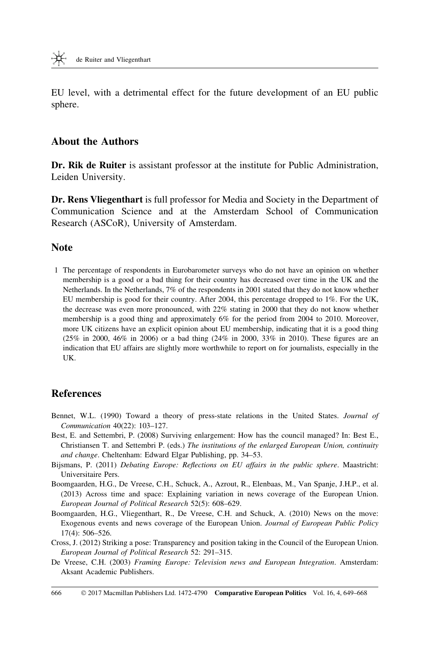<span id="page-18-0"></span>EU level, with a detrimental effect for the future development of an EU public sphere.

#### About the Authors

Dr. Rik de Ruiter is assistant professor at the institute for Public Administration, Leiden University.

Dr. Rens Vliegenthart is full professor for Media and Society in the Department of Communication Science and at the Amsterdam School of Communication Research (ASCoR), University of Amsterdam.

#### **Note**

1 The percentage of respondents in Eurobarometer surveys who do not have an opinion on whether membership is a good or a bad thing for their country has decreased over time in the UK and the Netherlands. In the Netherlands, 7% of the respondents in 2001 stated that they do not know whether EU membership is good for their country. After 2004, this percentage dropped to 1%. For the UK, the decrease was even more pronounced, with 22% stating in 2000 that they do not know whether membership is a good thing and approximately 6% for the period from 2004 to 2010. Moreover, more UK citizens have an explicit opinion about EU membership, indicating that it is a good thing (25% in 2000, 46% in 2006) or a bad thing (24% in 2000, 33% in 2010). These figures are an indication that EU affairs are slightly more worthwhile to report on for journalists, especially in the UK.

#### **References**

- Bennet, W.L. (1990) Toward a theory of press-state relations in the United States. Journal of Communication 40(22): 103–127.
- Best, E. and Settembri, P. (2008) Surviving enlargement: How has the council managed? In: Best E., Christiansen T. and Settembri P. (eds.) The institutions of the enlarged European Union, continuity and change. Cheltenham: Edward Elgar Publishing, pp. 34–53.
- Bijsmans, P. (2011) Debating Europe: Reflections on EU affairs in the public sphere. Maastricht: Universitaire Pers.
- Boomgaarden, H.G., De Vreese, C.H., Schuck, A., Azrout, R., Elenbaas, M., Van Spanje, J.H.P., et al. (2013) Across time and space: Explaining variation in news coverage of the European Union. European Journal of Political Research 52(5): 608–629.
- Boomgaarden, H.G., Vliegenthart, R., De Vreese, C.H. and Schuck, A. (2010) News on the move: Exogenous events and news coverage of the European Union. Journal of European Public Policy 17(4): 506–526.
- Cross, J. (2012) Striking a pose: Transparency and position taking in the Council of the European Union. European Journal of Political Research 52: 291–315.
- De Vreese, C.H. (2003) Framing Europe: Television news and European Integration. Amsterdam: Aksant Academic Publishers.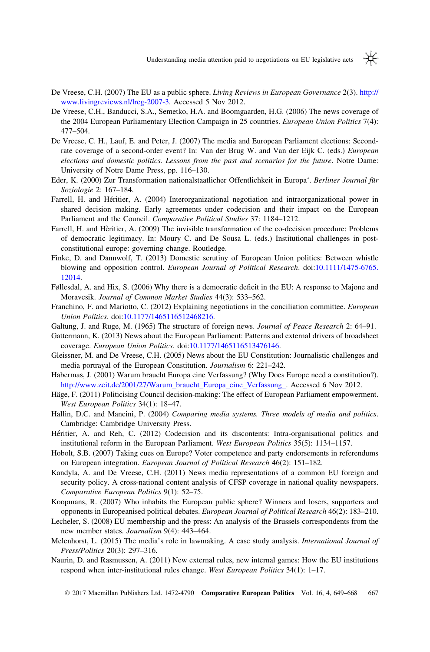- <span id="page-19-0"></span>De Vreese, C.H. (2007) The EU as a public sphere. Living Reviews in European Governance 2(3). [http://](http://www.livingreviews.nl/lreg-2007-3) [www.livingreviews.nl/lreg-2007-3.](http://www.livingreviews.nl/lreg-2007-3) Accessed 5 Nov 2012.
- De Vreese, C.H., Banducci, S.A., Semetko, H.A. and Boomgaarden, H.G. (2006) The news coverage of the 2004 European Parliamentary Election Campaign in 25 countries. *European Union Politics* 7(4): 477–504.
- De Vreese, C. H., Lauf, E. and Peter, J. (2007) The media and European Parliament elections: Secondrate coverage of a second-order event? In: Van der Brug W. and Van der Eijk C. (eds.) European elections and domestic politics. Lessons from the past and scenarios for the future. Notre Dame: University of Notre Dame Press, pp. 116–130.
- Eder, K. (2000) Zur Transformation nationalstaatlicher Offentlichkeit in Europa'. Berliner Journal für Soziologie 2: 167–184.
- Farrell, H. and Héritier, A. (2004) Interorganizational negotiation and intraorganizational power in shared decision making. Early agreements under codecision and their impact on the European Parliament and the Council. Comparative Political Studies 37: 1184–1212.
- Farrell, H. and Hèritier, A. (2009) The invisible transformation of the co-decision procedure: Problems of democratic legitimacy. In: Moury C. and De Sousa L. (eds.) Institutional challenges in postconstitutional europe: governing change. Routledge.
- Finke, D. and Dannwolf, T. (2013) Domestic scrutiny of European Union politics: Between whistle blowing and opposition control. European Journal of Political Research. doi[:10.1111/1475-6765.](http://dx.doi.org/10.1111/1475-6765.12014) [12014](http://dx.doi.org/10.1111/1475-6765.12014).
- Føllesdal, A. and Hix, S. (2006) Why there is a democratic deficit in the EU: A response to Majone and Moravcsik. Journal of Common Market Studies 44(3): 533–562.
- Franchino, F. and Mariotto, C. (2012) Explaining negotiations in the conciliation committee. *European* Union Politics. doi[:10.1177/1465116512468216.](http://dx.doi.org/10.1177/1465116512468216)
- Galtung, J. and Ruge, M. (1965) The structure of foreign news. Journal of Peace Research 2: 64–91.
- Gattermann, K. (2013) News about the European Parliament: Patterns and external drivers of broadsheet coverage. European Union Politics. doi:[10.1177/1465116513476146](http://dx.doi.org/10.1177/1465116513476146).
- Gleissner, M. and De Vreese, C.H. (2005) News about the EU Constitution: Journalistic challenges and media portrayal of the European Constitution. Journalism 6: 221–242.
- Habermas, J. (2001) Warum braucht Europa eine Verfassung? (Why Does Europe need a constitution?). [http://www.zeit.de/2001/27/Warum\\_braucht\\_Europa\\_eine\\_Verfassung\\_](http://www.zeit.de/2001/27/Warum_braucht_Europa_eine_Verfassung_). Accessed 6 Nov 2012.
- Häge, F. (2011) Politicising Council decision-making: The effect of European Parliament empowerment. West European Politics 34(1): 18–47.
- Hallin, D.C. and Mancini, P. (2004) Comparing media systems. Three models of media and politics. Cambridge: Cambridge University Press.
- Héritier, A. and Reh, C. (2012) Codecision and its discontents: Intra-organisational politics and institutional reform in the European Parliament. West European Politics 35(5): 1134–1157.
- Hobolt, S.B. (2007) Taking cues on Europe? Voter competence and party endorsements in referendums on European integration. European Journal of Political Research 46(2): 151–182.
- Kandyla, A. and De Vreese, C.H. (2011) News media representations of a common EU foreign and security policy. A cross-national content analysis of CFSP coverage in national quality newspapers. Comparative European Politics 9(1): 52–75.
- Koopmans, R. (2007) Who inhabits the European public sphere? Winners and losers, supporters and opponents in Europeanised political debates. European Journal of Political Research 46(2): 183–210.
- Lecheler, S. (2008) EU membership and the press: An analysis of the Brussels correspondents from the new member states. Journalism 9(4): 443–464.
- Melenhorst, L. (2015) The media's role in lawmaking. A case study analysis. International Journal of Press/Politics 20(3): 297–316.
- Naurin, D. and Rasmussen, A. (2011) New external rules, new internal games: How the EU institutions respond when inter-institutional rules change. West European Politics 34(1): 1-17.